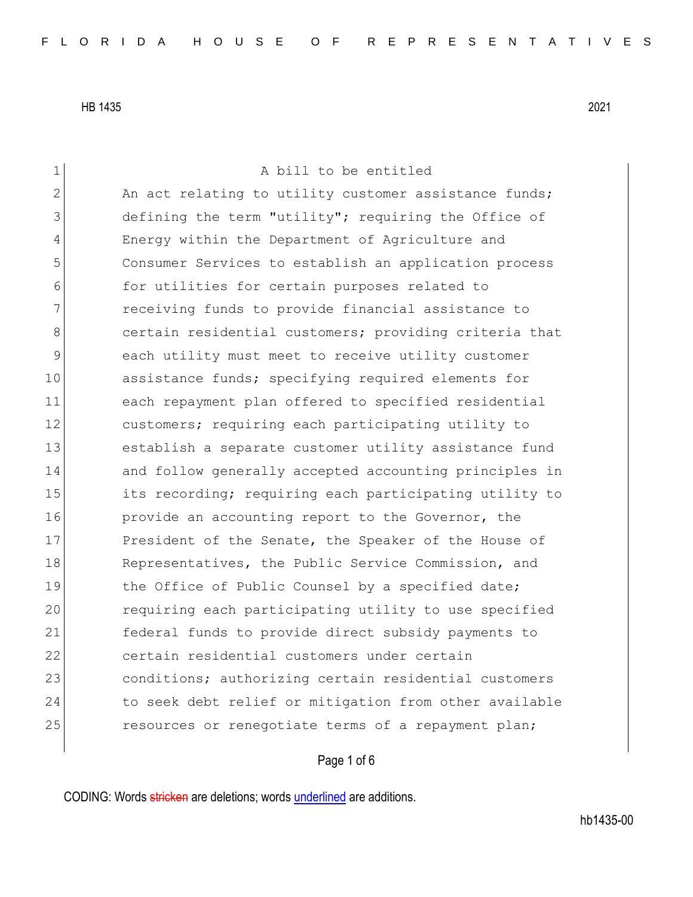1 a bill to be entitled 2 An act relating to utility customer assistance funds; 3 defining the term "utility"; requiring the Office of 4 Energy within the Department of Agriculture and 5 Consumer Services to establish an application process 6 6 for utilities for certain purposes related to 7 receiving funds to provide financial assistance to 8 8 6 8 certain residential customers; providing criteria that 9 each utility must meet to receive utility customer 10 assistance funds; specifying required elements for 11 each repayment plan offered to specified residential 12 customers; requiring each participating utility to 13 establish a separate customer utility assistance fund 14 and follow generally accepted accounting principles in 15 its recording; requiring each participating utility to 16 **provide an accounting report to the Governor, the** 17 President of the Senate, the Speaker of the House of 18 Representatives, the Public Service Commission, and 19 bluestardard the Office of Public Counsel by a specified date; 20 requiring each participating utility to use specified 21 federal funds to provide direct subsidy payments to 22 certain residential customers under certain 23 conditions; authorizing certain residential customers 24 to seek debt relief or mitigation from other available 25 resources or renegotiate terms of a repayment plan;

### Page 1 of 6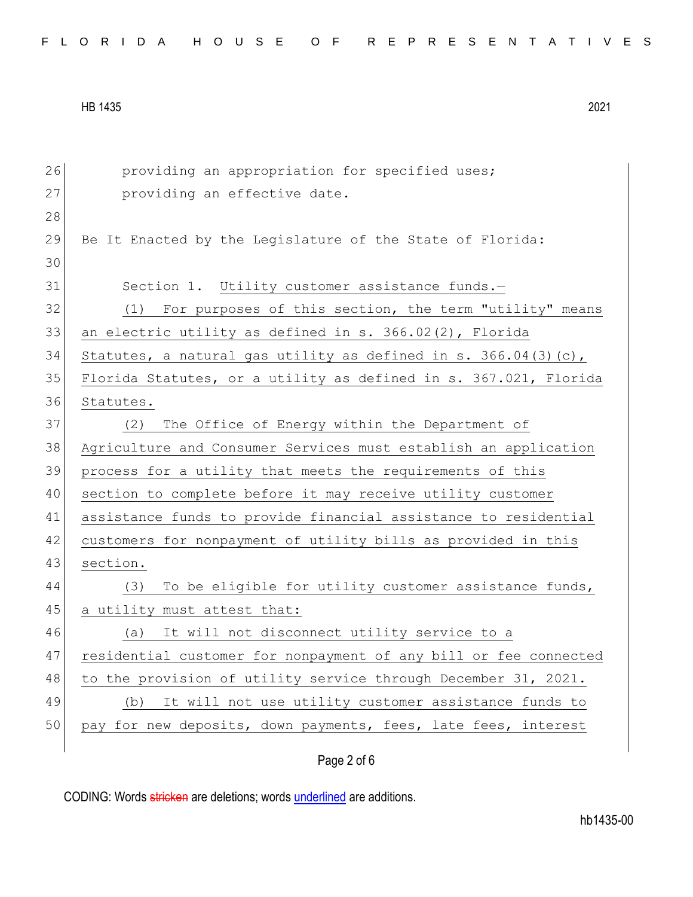|  |  | FLORIDA HOUSE OF REPRESENTATIVES |
|--|--|----------------------------------|
|--|--|----------------------------------|

| 26 | providing an appropriation for specified uses;                   |
|----|------------------------------------------------------------------|
| 27 | providing an effective date.                                     |
| 28 |                                                                  |
| 29 | Be It Enacted by the Leqislature of the State of Florida:        |
| 30 |                                                                  |
| 31 | Section 1. Utility customer assistance funds.-                   |
| 32 | For purposes of this section, the term "utility" means<br>(1)    |
| 33 | an electric utility as defined in $s. 366.02(2)$ , Florida       |
| 34 | Statutes, a natural gas utility as defined in s. 366.04(3)(c),   |
| 35 | Florida Statutes, or a utility as defined in s. 367.021, Florida |
| 36 | Statutes.                                                        |
| 37 | The Office of Energy within the Department of<br>(2)             |
| 38 | Agriculture and Consumer Services must establish an application  |
| 39 | process for a utility that meets the requirements of this        |
| 40 | section to complete before it may receive utility customer       |
| 41 | assistance funds to provide financial assistance to residential  |
| 42 | customers for nonpayment of utility bills as provided in this    |
| 43 | section.                                                         |
| 44 | To be eligible for utility customer assistance funds,<br>(3)     |
| 45 | a utility must attest that:                                      |
| 46 | It will not disconnect utility service to a<br>(a)               |
| 47 | residential customer for nonpayment of any bill or fee connected |
| 48 | to the provision of utility service through December 31, 2021.   |
| 49 | It will not use utility customer assistance funds to<br>(b)      |
| 50 | pay for new deposits, down payments, fees, late fees, interest   |
|    |                                                                  |

Page 2 of 6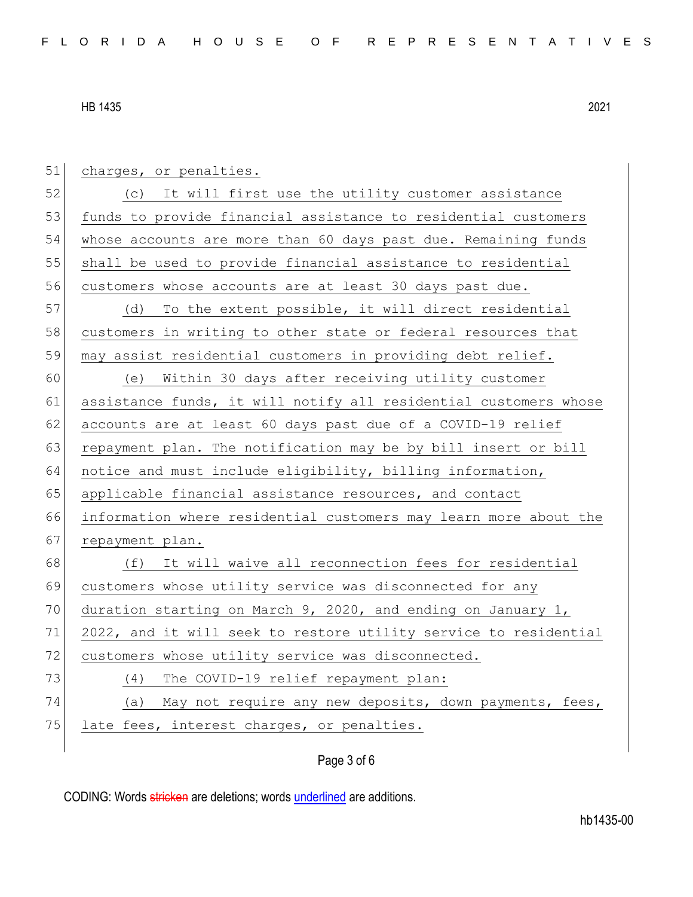| 51 | charges, or penalties.                                           |
|----|------------------------------------------------------------------|
| 52 | (c) It will first use the utility customer assistance            |
| 53 | funds to provide financial assistance to residential customers   |
| 54 | whose accounts are more than 60 days past due. Remaining funds   |
| 55 | shall be used to provide financial assistance to residential     |
| 56 | customers whose accounts are at least 30 days past due.          |
| 57 | To the extent possible, it will direct residential<br>(d)        |
| 58 | customers in writing to other state or federal resources that    |
| 59 | may assist residential customers in providing debt relief.       |
| 60 | Within 30 days after receiving utility customer<br>(e)           |
| 61 | assistance funds, it will notify all residential customers whose |
| 62 | accounts are at least 60 days past due of a COVID-19 relief      |
| 63 | repayment plan. The notification may be by bill insert or bill   |
| 64 | notice and must include eligibility, billing information,        |
| 65 | applicable financial assistance resources, and contact           |
| 66 | information where residential customers may learn more about the |
| 67 | repayment plan.                                                  |
| 68 | It will waive all reconnection fees for residential<br>(f)       |
| 69 | customers whose utility service was disconnected for any         |
| 70 | duration starting on March 9, 2020, and ending on January 1,     |
| 71 | 2022, and it will seek to restore utility service to residential |
| 72 | customers whose utility service was disconnected.                |
| 73 | The COVID-19 relief repayment plan:<br>(4)                       |
| 74 | May not require any new deposits, down payments, fees,<br>(a)    |
| 75 | late fees, interest charges, or penalties.                       |
|    |                                                                  |

# Page 3 of 6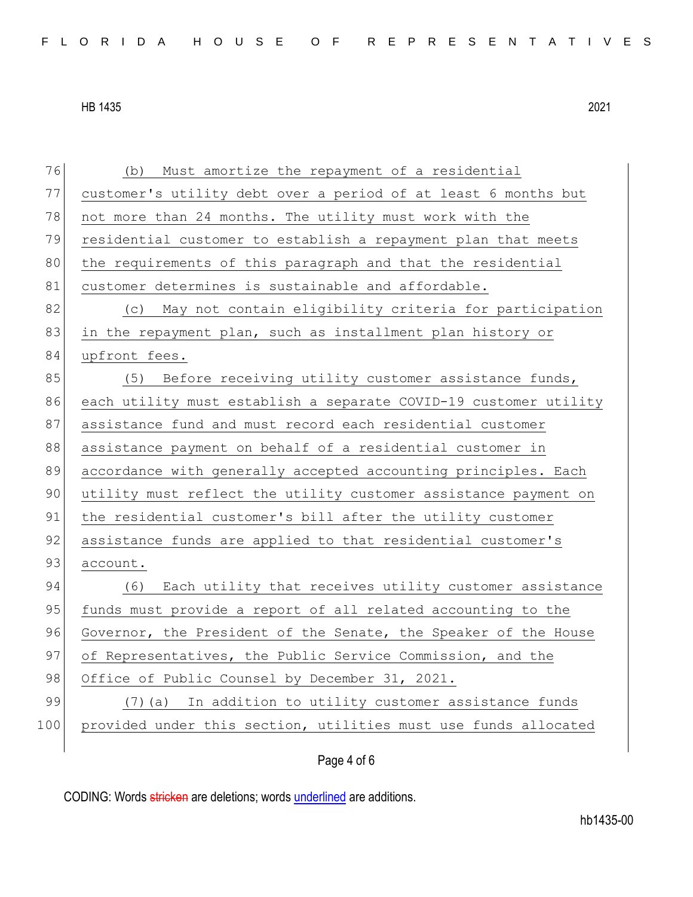| 76  | (b) Must amortize the repayment of a residential                 |
|-----|------------------------------------------------------------------|
| 77  | customer's utility debt over a period of at least 6 months but   |
| 78  | not more than 24 months. The utility must work with the          |
| 79  | residential customer to establish a repayment plan that meets    |
| 80  | the requirements of this paragraph and that the residential      |
| 81  | customer determines is sustainable and affordable.               |
| 82  | (c) May not contain eligibility criteria for participation       |
| 83  | in the repayment plan, such as installment plan history or       |
| 84  | upfront fees.                                                    |
| 85  | (5) Before receiving utility customer assistance funds,          |
| 86  | each utility must establish a separate COVID-19 customer utility |
| 87  | assistance fund and must record each residential customer        |
| 88  | assistance payment on behalf of a residential customer in        |
| 89  | accordance with generally accepted accounting principles. Each   |
| 90  | utility must reflect the utility customer assistance payment on  |
| 91  | the residential customer's bill after the utility customer       |
| 92  | assistance funds are applied to that residential customer's      |
| 93  | account.                                                         |
| 94  | (6) Each utility that receives utility customer assistance       |
| 95  | funds must provide a report of all related accounting to the     |
| 96  | Governor, the President of the Senate, the Speaker of the House  |
| 97  | of Representatives, the Public Service Commission, and the       |
| 98  | Office of Public Counsel by December 31, 2021.                   |
| 99  | (7) (a) In addition to utility customer assistance funds         |
| 100 | provided under this section, utilities must use funds allocated  |
|     |                                                                  |

## Page 4 of 6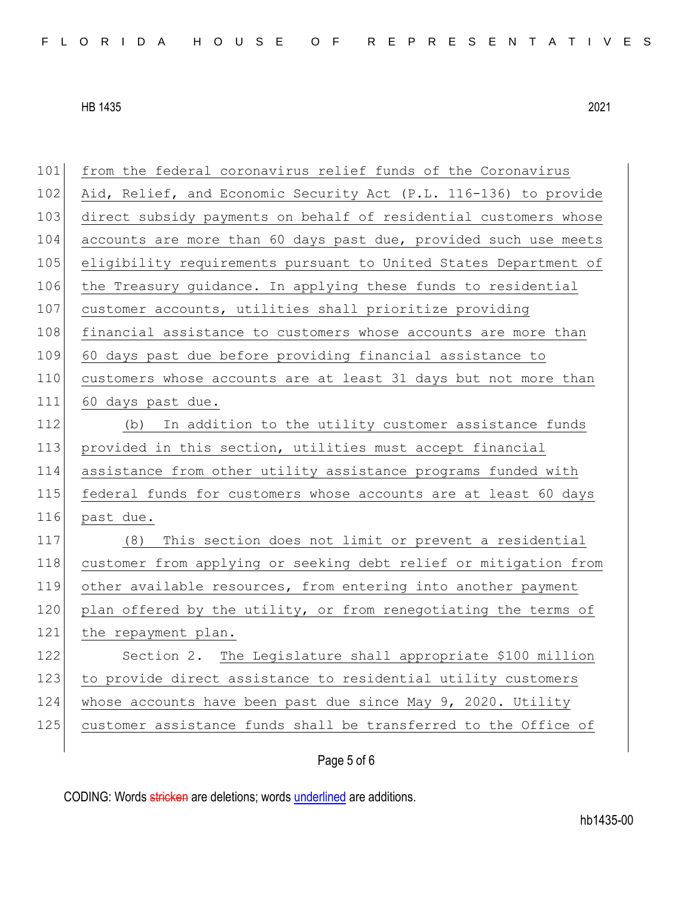from the federal coronavirus relief funds of the Coronavirus

102 Aid, Relief, and Economic Security Act (P.L. 116-136) to provide

HB 1435 2021

past due.

 direct subsidy payments on behalf of residential customers whose accounts are more than 60 days past due, provided such use meets eligibility requirements pursuant to United States Department of the Treasury guidance. In applying these funds to residential customer accounts, utilities shall prioritize providing 108 financial assistance to customers whose accounts are more than 60 days past due before providing financial assistance to customers whose accounts are at least 31 days but not more than 60 days past due. (b) In addition to the utility customer assistance funds 113 provided in this section, utilities must accept financial assistance from other utility assistance programs funded with federal funds for customers whose accounts are at least 60 days (8) This section does not limit or prevent a residential customer from applying or seeking debt relief or mitigation from other available resources, from entering into another payment 120 plan offered by the utility, or from renegotiating the terms of

121 the repayment plan. Section 2. The Legislature shall appropriate \$100 million to provide direct assistance to residential utility customers whose accounts have been past due since May 9, 2020. Utility 125 customer assistance funds shall be transferred to the Office of

### Page 5 of 6